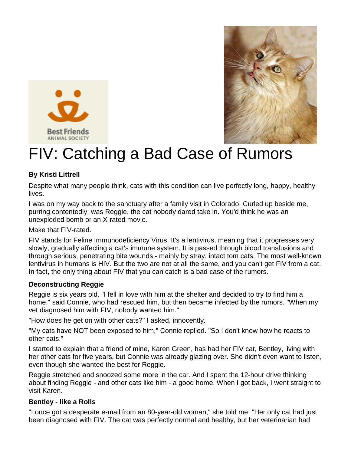



# **ELECTRY ANIMAL SOCIETY**<br>FIV: Catching a Bad Case of Rumors

### **By Kristi Littrell**

Despite what many people think, cats with this condition can live perfectly long, happy, healthy lives.

I was on my way back to the sanctuary after a family visit in Colorado. Curled up beside me, purring contentedly, was Reggie, the cat nobody dared take in. You'd think he was an unexploded bomb or an X-rated movie.

Make that FIV-rated.

FIV stands for Feline Immunodeficiency Virus. It's a lentivirus, meaning that it progresses very slowly, gradually affecting a cat's immune system. It is passed through blood transfusions and through serious, penetrating bite wounds - mainly by stray, intact tom cats. The most well-known lentivirus in humans is HIV. But the two are not at all the same, and you can't get FIV from a cat. In fact, the only thing about FIV that you can catch is a bad case of the rumors.

#### **Deconstructing Reggie**

Reggie is six years old. "I fell in love with him at the shelter and decided to try to find him a home," said Connie, who had rescued him, but then became infected by the rumors. "When my vet diagnosed him with FIV, nobody wanted him."

"How does he get on with other cats?" I asked, innocently.

"My cats have NOT been exposed to him," Connie replied. "So I don't know how he reacts to other cats."

I started to explain that a friend of mine, Karen Green, has had her FIV cat, Bentley, living with her other cats for five years, but Connie was already glazing over. She didn't even want to listen, even though she wanted the best for Reggie.

Reggie stretched and snoozed some more in the car. And I spent the 12-hour drive thinking about finding Reggie - and other cats like him - a good home. When I got back, I went straight to visit Karen.

#### **Bentley - like a Rolls**

"I once got a desperate e-mail from an 80-year-old woman," she told me. "Her only cat had just been diagnosed with FIV. The cat was perfectly normal and healthy, but her veterinarian had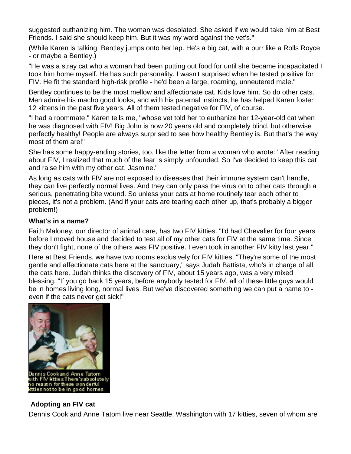suggested euthanizing him. The woman was desolated. She asked if we would take him at Best Friends. I said she should keep him. But it was my word against the vet's."

(While Karen is talking, Bentley jumps onto her lap. He's a big cat, with a purr like a Rolls Royce - or maybe a Bentley.)

"He was a stray cat who a woman had been putting out food for until she became incapacitated I took him home myself. He has such personality. I wasn't surprised when he tested positive for FIV. He fit the standard high-risk profile - he'd been a large, roaming, unneutered male."

Bentley continues to be the most mellow and affectionate cat. Kids love him. So do other cats. Men admire his macho good looks, and with his paternal instincts, he has helped Karen foster 12 kittens in the past five years. All of them tested negative for FIV, of course.

"I had a roommate," Karen tells me, "whose vet told her to euthanize her 12-year-old cat when he was diagnosed with FIV! Big John is now 20 years old and completely blind, but otherwise perfectly healthy! People are always surprised to see how healthy Bentley is. But that's the way most of them are!"

She has some happy-ending stories, too, like the letter from a woman who wrote: "After reading about FIV, I realized that much of the fear is simply unfounded. So I've decided to keep this cat and raise him with my other cat, Jasmine."

As long as cats with FIV are not exposed to diseases that their immune system can't handle, they can live perfectly normal lives. And they can only pass the virus on to other cats through a serious, penetrating bite wound. So unless your cats at home routinely tear each other to pieces, it's not a problem. (And if your cats are tearing each other up, that's probably a bigger problem!)

#### **What's in a name?**

Faith Maloney, our director of animal care, has two FIV kitties. "I'd had Chevalier for four years before I moved house and decided to test all of my other cats for FIV at the same time. Since they don't fight, none of the others was FIV positive. I even took in another FIV kitty last year."

Here at Best Friends, we have two rooms exclusively for FIV kitties. "They're some of the most gentle and affectionate cats here at the sanctuary," says Judah Battista, who's in charge of all the cats here. Judah thinks the discovery of FIV, about 15 years ago, was a very mixed blessing. "If you go back 15 years, before anybody tested for FIV, all of these little guys would be in homes living long, normal lives. But we've discovered something we can put a name to even if the cats never get sick!"



#### **Adopting an FIV cat**

Dennis Cook and Anne Tatom live near Seattle, Washington with 17 kitties, seven of whom are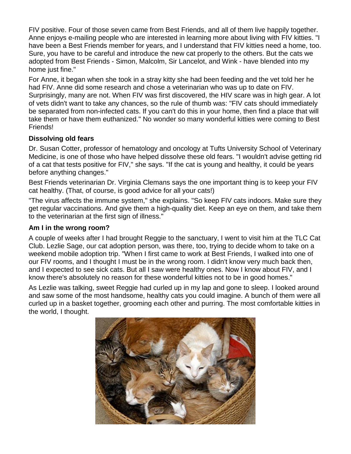FIV positive. Four of those seven came from Best Friends, and all of them live happily together. Anne enjoys e-mailing people who are interested in learning more about living with FIV kitties. "I have been a Best Friends member for years, and I understand that FIV kitties need a home, too. Sure, you have to be careful and introduce the new cat properly to the others. But the cats we adopted from Best Friends - Simon, Malcolm, Sir Lancelot, and Wink - have blended into my home just fine."

For Anne, it began when she took in a stray kitty she had been feeding and the vet told her he had FIV. Anne did some research and chose a veterinarian who was up to date on FIV. Surprisingly, many are not. When FIV was first discovered, the HIV scare was in high gear. A lot of vets didn't want to take any chances, so the rule of thumb was: "FIV cats should immediately be separated from non-infected cats. If you can't do this in your home, then find a place that will take them or have them euthanized." No wonder so many wonderful kitties were coming to Best Friends!

#### **Dissolving old fears**

Dr. Susan Cotter, professor of hematology and oncology at Tufts University School of Veterinary Medicine, is one of those who have helped dissolve these old fears. "I wouldn't advise getting rid of a cat that tests positive for FIV," she says. "If the cat is young and healthy, it could be years before anything changes."

Best Friends veterinarian Dr. Virginia Clemans says the one important thing is to keep your FIV cat healthy. (That, of course, is good advice for all your cats!)

"The virus affects the immune system," she explains. "So keep FIV cats indoors. Make sure they get regular vaccinations. And give them a high-quality diet. Keep an eye on them, and take them to the veterinarian at the first sign of illness."

#### **Am I in the wrong room?**

A couple of weeks after I had brought Reggie to the sanctuary, I went to visit him at the TLC Cat Club. Lezlie Sage, our cat adoption person, was there, too, trying to decide whom to take on a weekend mobile adoption trip. "When I first came to work at Best Friends, I walked into one of our FIV rooms, and I thought I must be in the wrong room. I didn't know very much back then, and I expected to see sick cats. But all I saw were healthy ones. Now I know about FIV, and I know there's absolutely no reason for these wonderful kitties not to be in good homes."

As Lezlie was talking, sweet Reggie had curled up in my lap and gone to sleep. I looked around and saw some of the most handsome, healthy cats you could imagine. A bunch of them were all curled up in a basket together, grooming each other and purring. The most comfortable kitties in the world, I thought.